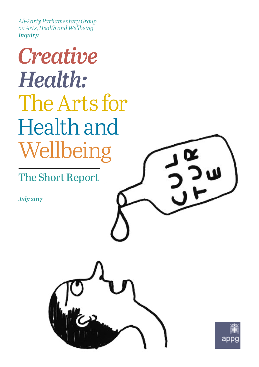*All-Party Parliamentary Group on Arts, Health and Wellbeing Inquiry*

## *Creative Health:* The Arts for Health and Wellbeing

The Short Report

*July 2017*



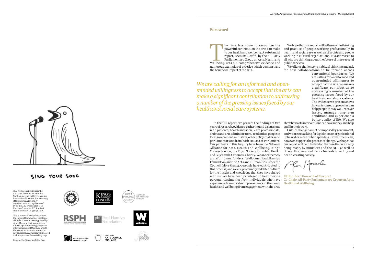The time has come to recognise the powerful contribution the arts can make to our health and wellbeing. A substantial report, *Creative Health*, by the All-Party Parliamentary Group on Arts, Health and Wellbeing, sets out powerful contribution the arts can make to our health and wellbeing. A substantial report, *Creative Health*, by the All-Party Parliamentary Group on Arts, Health and numerous examples of practice which demonstrate the beneficial impact of the arts.

In the full report, we present the findings of two show how arts interventions can save money and help years of research, evidence-gathering and discussions staff in their work. with patients, health and social care professionals, Culture change cannot be imposed by government, artists and arts administrators, academics, people in and we are not asking for legislation or organisational local government, ministers, other policy-makers and upheaval or more public spending. Government can, parliamentarians from both Houses of Parliament. however, support the process of change. We hope that Our partners in this Inquiry have been the National our report will help to develop the case that is already Alliance for Arts, Health and Wellbeing, King's being made, by ministers and the NHS as well as College London, the Royal Society for Public Health others, that we should work towards a healthy and and Guy's and St Thomas' Charity. We are extremely health-creating society. grateful to our funders, Wellcome, Paul Hamlyn Foundation and the Arts and Humanities Research /foreof Council. More than 300 people have contributed to this process, and we are profoundly indebted to them for the insight and knowledge that they have shared **Rt Hon. Lord Howarth of Newport** with us. We have been privileged to hear moving personal testimonies from individuals who have **Co-Chair, All-Party Parliamentary Group on Arts,**  experienced remarkable improvements in their own **Health and Wellbeing.** health and wellbeing from engagement with the arts.



## SING YOUR SONG

We hope that our report will influence the thinking and practice of people working professionally in health and social care as well as of artists and people working in cultural organisations. It is addressed to all who are thinking about the future of these crucial public services.

We offer a challenge to habitual thinking and ask for new collaborations to be formed across

conventional boundaries. We are calling for an informed and open-minded willingness to accept that the arts can make a significant contribution to addressing a number of the pressing issues faced by our health and social care systems. The evidence we present shows how arts-based approaches can help people to stay well, recover faster, manage long-term conditions and experience a better quality of life. We also

#### **Foreword**

*We are calling for an informed and openminded willingness to accept that the arts can make a significant contribution to addressing a number of the pressing issues faced by our health and social care systems.* 

This work is licensed under the Creative Commons Attribution-NonCommercial-NoDerivatives 4.0 International License. To view a copy of this license, visit [http://](http://creativecommons.org/licenses/by-nc-nd/4.0/) [creativecommons.org/licenses/](http://creativecommons.org/licenses/by-nc-nd/4.0/) [by-nc-nd/4.0/](http://creativecommons.org/licenses/by-nc-nd/4.0/) or send a letter to Creative Commons, PO Box 1866, Mountain View, CA 94042, USA.

This is not an official publication of the House of Commons or the House of Lords. It has not been approved by either House or their committees. All-party parliamentary groups are informal groups of Members of both Houses with a common interest in particular issues. The views expressed in this report are those of the group.

Designed by Steers McGillan Eves











phf Paul Hamlyn oundation



A CATALYST<br>FOR INNOVATION<br>INFIRACTIE

GUYS &

THOMAS' CHARITY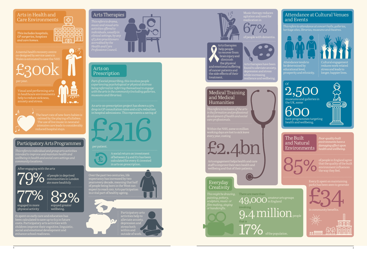*This includes hospitals, GP surgeries, hospices and care homes.*

#### Arts in Health and Care Environments

Wales is estimated to save the NHS

The heart rate of new-born babies is

 $\overline{P}$ 

800

80 Q

nnn

ПO

同

ᄆ

ōō

冋

engaged in more physical activity enjoyed greater wellbeing.  $77%$  82%

# £300k

#### Participatory Arts Programmes

#### Medical Training and Medical Humanities

 $\overline{\epsilon_1}$  spent on early care and education has been calculated to save up to £13 in future costs. Participatory arts activities with children improve their cognitive, linguistic, social and emotional development and enhance school readiness.

#### Arts Therapies

#### Arts on Prescription

of people in deprived

communities in London ate more healthily



Participatory arts activities help to alleviate anxiety, depression and stress both within and outside of work.



<u>ound to alleviate anxiety</u> depression and stress

Over the past two centuries, life expectancy has increased by two years every decade, meaning that half of people being born in the West can expect to reach 100. Arts participation is a vital part of healthy ageing.



Music therapy reduces agitation and need for re<br>medication in

*Part of social prescribing, this involves people experiencing psychological or physical distress being referred (or referring themselves) to engage with the arts in the community (including galleries, museums and libraries).* 

*This refers to drama, individuals, usually in of 3,600 practitioners accredited by the* 



## Everyday **Creativity**

*in the formation and professional development of health and social* 

*This refers to attendance at concert halls, galleries, heritage sites, libraries, museums and theatres.*



Visual and performing arts in healthcare environments help to reduce sickness, anxiety and stress.



An arts-on-prescription project has shown a 37% drop in GP consultation rates and a 27% reduction in hospital admissions. This represents a saving of resilience and wellbeing.

Attendance tends to be determined by educational level prosperity and ethnicity.



Cultural engagement reduces work-related stress and leads to longer, happier lives.

Within the NHS, some 10 million working days are lost to sick leave every year, costing

A social return on investment of between £4 and £11 has been calculated for every £1 invested in arts on prescription.



#### per patient.



*This refers to individual and group arts activities intended to improve and maintain health and wellbeing in health and social care settings and community locations.*

Arts therapies help people to recover from brain injury and diminish the physical and emotional suffering of cancer patients and the side effects of their treatment.



£2.4bn

#### Attendance at Cultural Venues and Events

*This might be drawing, painting, pottery, sculpture, music- or film-making, singing*



health and wellbeing.



#### The Built and Natural Environments

*Poor-quality built* 



*damaging effect upon health and wellbeing.*

There are more than  $\mathbf{Q}$  amateur arts groups 9.4 million people that is<br> $17\%$  of the population. involving that is



Every £1 spent on maintaining



n community benefits.

Arts engagement helps health and care staff to improve their own health and wellbeing and that of their patients.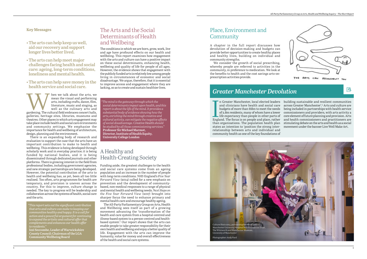

In Greater Manchester, local elected leaders<br>and clinicians have health and social care<br>budgets of more than £6bn to meet the needs<br>of 2.8m residents, many of whom have a lower<br>life expectancy than people in other parts of n Greater Manchester, local elected leaders and clinicians have health and social care budgets of more than £6bn to meet the needs of 2.8m residents, many of whom have a lower life expectancy than people in other parts of than organisations. The population health plan states an intention to 'position the strong interrelationship between arts and individual and community health as one of the key foundations of

building sustainable and resilient communities across Greater Manchester'.2 Arts and culture are being included in partnerships with health service commissioners and providers, with arts activity a core element of future planning and provision. Arts and health commissioners and practitioners are stimulating debate on the arts and health as a social movement under the banner Live Well Make Art.

Market about the arts, we mean the visual and performing arts, including crafts, dance, film, literature, music and singing, as well as the culinary arts and gardening. The cultural field embraces concert halls, mean the visual and performing arts, including crafts, dance, film, literature, music and singing, as well as the culinary arts and galleries, heritage sites, libraries, museums and theatres. Other places in which arts engagement may take place include health and social care evironments and community settings. We emphasise the importance for health and wellbeing of architecture, design, planning and the environment.

#### **Key Messages**

- **The arts can help keep us well, aid our recovery and support longer lives better lived.**
- **The arts can help meet major challenges facing health and social care: ageing, long-term conditions, loneliness and mental health.**
- **The arts can help save money in the health service and social care.**

There is an expanding body of research and evaluation to support the case that the arts have an important contribution to make to health and wellbeing. This evidence is being developed through scholarly work and in everyday practice; it is being funded by national bodies, and it is being disseminated through dedicated journals and other platforms. There is growing interest in the field from professional bodies, including government agencies, Funding aside, the greatest challenges to the health and new strategic partnerships are being developed. However, the potential contribution of the arts to health and wellbeing has, as yet, been all too little realised. Too often, arts programmes for health are temporary, and provision is uneven across the country. For this to improve, culture change is needed. The key to progress will be leadership and collaboration across the systems of health, social care and the arts.

## Place, Environment and **Community**

## The Arts and the Social Determinants of Health and Wellbeing

The conditions in which we are born, grow, work, live and age have profound effects on our health and wellbeing. This report examines how engagement with the arts and culture can have a positive impact on these social determinants, enhancing health, wellbeing and quality of life for people of all ages. However, the evidence shows that engagement with the publicly funded arts is relatively low among people living in circumstances of economic and social disadvantage. We argue, therefore, that it is essential to improve access and engagement where they are lacking, so as to create and sustain healthier lives.

## A Healthy and Health-Creating Society

and social care systems come from an ageing population and an increase in the number of people with long-term conditions. NHS England's *Five Year Forward View* (2014) called for a new emphasis on prevention and the development of communitybased, non-medical responses to a range of physical and mental health and wellbeing needs. *Next Steps on the Five Year Forward View* (2017) brought into sharper focus the need to enhance primary and mental health care and encourage healthy ageing.

The All-Party Parliamentary Group on Arts, Health and Wellbeing sees itself as part of a growing movement advancing the 'transformation of the health and care system from a hospital-centred and illness-based system to a person-centred and healthbased system'.1 Our report shows that the arts can enable people to take greater responsibility for their own health and wellbeing and enjoy a better quality of life. Engagement with the arts can improve the humanity, value for money and overall effectiveness of the health and social care systems.

A chapter in the full report discusses how devolution of decision-making and budgets can provide better opportunities to create healthy places and healthy lives, building on individual and community strengths.

We consider the growth of social prescribing, whereby people are referred to activities in the community, in preference to medication. We look at the benefits to health and the cost savings arts-onprescription activities provide.

## *Greater Manchester Devolution*

 *"The mind is the gateway through which the social determinants impact upon health, and this report is about the life of the mind. It provides a substantial body of evidence showing how the arts, enriching the mind through creative and cultural activity, can mitigate the negative effects of social disadvantage.* Creative Health *should be studied by all those commissioning services."* **Professor Sir Michael Marmot, Director, Institute of Health Equity, University College London**



*"This report sets out the significant contribution that arts and culture can make to keeping our communities healthy and happy. It is a call for action and a powerful argument for continuing to expand the artistic and cultural offer that complements and enhances our health offer to residents."*

**Izzi Seccombe, Leader of Warwickshire County Council; Chairman of the LGA Community Wellbeing Board**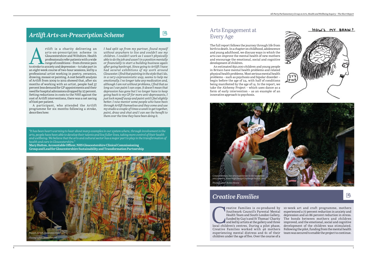

国

reative Families is co-produced by Southwark Council's Parental Mental Health Team and South London Gallery, funded by Guy's and St Thomas' Charity and led by artists at the gallery and three local children's centres. Duri Southwark Council's Parental Mental Health Team and South London Gallery, depression and an 86 percent reduction in stress. funded by Guy's and St Thomas' Charity and led by artists at the gallery and three Creative Families worked with 46 mothers experiencing mental distress and 61 of their children under the age of five. Over the course of a reative Families is co-produced by 10-week art and craft programme, mothers experienced a 77 percent reduction in anxiety and The bonds between mothers and children improved, and the emotional, social and cognitive development of the children was stimulated. Following the pilot, funding from the mental health team was secured to enable the project to continue.

### *Creative Families*

#### Arts Engagement at Every Age

The full report follows the journey through life from birth to death. In a chapter on childhood, adolescence and young adulthood, we discuss ways in which the arts can improve the mental health of new mothers and encourage the emotional, social and cognitive development of children.

rtlift is a charity delivering an<br>arts-on-prescription scheme in<br>Gloucestershire and Wiltshire. Health<br>professionals refer patients with a wide<br>range of conditions – from chronic pain<br>to stroke to anxiety and depression – arts-on-prescription scheme in Gloucestershire and Wiltshire. Health professionals refer patients with a wide range of conditions – from chronic pain an eight-week course of two-hour sessions, led by a professional artist working in poetry, ceramics, drawing, mosaic or painting. A cost benefit analysis of Artlift from 2009 to 2012 showed that, after six months of working with an artist, people had 37 percent less demand for GP appointments and their need for hospital admissions dropped by 27 percent. Setting reductions in costs to the NHS against the cost of Artlift interventions, there was a net saving of £216 per patient.

An estimated 850,000 children and young people in Britain have mental health problems and related physical health problems. Most serious mental health problems – such as psychosis and bipolar disorder – begin before the age of 24, with half of conditions being manifested by the age of 14. In the report, we take the Alchemy Project – which uses dance as a form of early intervention – as an example of an innovative approach to psychosis.

A participant, who attended the Artlift programme for six months following a stroke, describes how:

*I had split up from my partner, found myself without anywhere to live and couldn't see my children. I couldn't work as I wasn't physically able to do the job and wasn't in a position mentally or financially to start a building business again after going bankrupt. Since going to Artlift I have had several exhibitions of my work around Gloucester. I find that painting in the style that I do, in a very expressionistic way, seems to help me emotionally. I no longer take any medication and, although I am not without problems, I find that as long as I can paint I can cope. It doesn't mean that depression has gone but I no longer have to keep going back to my GP for more anti-depressants, I just lock myself away and paint until I feel slightly better. I now mentor some people who have been through Artlift themselves and they come and use my studio a couple of times a week to get together, paint, draw and chat and I can see the benefit to them over the time they have been doing it.*

巨

## *Artlift Arts-on-Prescription Scheme*





*"It has been heart-warming to hear about many examples in our system where, through involvement in the arts, people have been able to develop their talents and live fuller lives, taking more control of their health and wellbeing. We believe that the arts and cultural sector has a major part to play in the transformation of health and care in Gloucestershire."*

**Mary Hutton, Accountable Officer, NHS Gloucestershire Clinical Commissioning Group and Lead for Gloucestershire Sustainability and Transformation Partnership**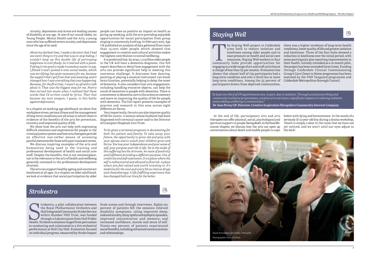## 国

Anxiety, depression and stress are leading causes of disability at any age. At one of our round tables, on Young People, Mental Health and the Arts, a young opportunities for social participation from group man who has suffered severe anxiety and depression since the age of 20 said:

*About my darkest time, I made a decision that I had one more thing to try and that was to stop hiding. I couldn't keep up this double life of portraying happiness to everybody. So it started with a poem. Putting it into poetry made it somehow easier to say. I filmed it and I posted it onto social media, which was terrifying, but quite necessary for me, because the support that I got from that was amazing, and it changed how I saw everything that was happening. Because, for the first time, I wasn't as afraid to talk about it. That was the biggest step for me. Poetry then turned into music when I realised that these words that I'd written could be lyrics. Then that became my next weapon, I guess, in this battle against depression.*

We show how the arts can help with expressing difficult emotions and experiences for people in the criminal justice system and how arts therapies provide an effective non-verbal means of accessing painful memories for those with post-traumatic stress.

We discuss inspiring examples of the arts and humanities being used in the training and professional development of health and social care staff. Despite the benefits, this is not commonplace, nor is the relevance to the arts of health and wellbeing generally conveyed in the professional development of artists.

In a chapter on working-age adulthood, we show that workplace stress, serious illness and the management of long-term conditions are all areas in which there is evidence of the benefits of the arts for prevention, recovery and improved quality of life.

The arts can support healthy ageing and counteract loneliness at all ages. In a chapter on older adulthood, we look at evidence that social participation by older

people can have as positive an impact on health as giving up smoking, with the arts providing enjoyable singing to community knitting. In February 2017, Age UK published an analysis of data gathered from more than 15,000 older people which showed that engagement in creative and cultural activities makes the highest contribution to overall wellbeing.

Trokestra, a pilot collaboration between<br>the Royal Philharmonic Orchestra and<br>HullIntegrated Community Stroke Service<br>within Humber NHS Trust, was funded<br>through a £48,000 grant from Hull Public<br>Health. Strokestra sessions within Humber NHS Trust, was funded through a  $\pounds$ 48,000 grant from Hull Public to conducting and culminated in a live orchestral performance at Hull City Hall. Evaluation focused social benefits, including enhanced communication on individual progress, measured by Stroke Impact and relationships.

It is predicted that, by 2040, 1.2 million older people in the UK will have a dementia diagnosis. Our full report describes in detail how engagement with the arts can provide significant help in meeting this enormous challenge. It discusses how dancing, painting or playing a musical instrument can boost brain function, potentially helping to delay the onset of dementia. It also considers how arts engagement, including handling evocative objects, can help the recall of memories in people with dementia. There is a movement in dementia care to focus less on memory and more on improving the quality of life for people with dementia. The full report presents examples of practice and research in this area across eight different art forms.

The Staying Well project in Calderdale there was a higher incidence of long-term health aims both to reduce isolation and conditions, lower quality of life and greater isolation loneliness among older people and to and lon aims both to reduce isolation and conditions, lower quality of life and greater isolation loneliness among older people and to and loneliness. Three of the four hubs showed a ease pressure on health and social care reduction in loneliness over the initial period, with resources. Staying Well workers in four some participants also reporting improvements in engaging in a wide range of art and craft activities at the project has been extended three times. Funding a charge of less than £5 per session. Evaluation has through Calderdale Clinical Commissioning shown that almost half of 779 participants had a long-term condition and over a third two or more matched by the NHS Vanguard programme and long-term conditions. Among the 55 percent of participants drawn from deprived communities, he Staying Well project in Calderdale there was a higher incidence of long-term health Group's Care Closer to Home programme has been Calderdale Metropolitan Borough Council.

Very importantly, the arts can also improve quality of life for carers. A woman whose husband had been diagnosed with terminal cancer said to the Director of Grampian Hospitals Arts Trust:

*To be given a terminal prognosis is devastating for both the patient and family. To take away your future, the opportunity to grow old and grey with your spouse and to watch your children grow and thrive. You lose your independence and your sense of self, your purpose and role in life. Yet in the midst of this suffering lies the Artroom. An oasis of positivity and fulfilment providing a different purpose. One of creativity and self-expression. It is a place where the self is rediscovered and allowed to flourish. A place where you feel valued and worth investing in. It's medicine for the soul and every bit as vital as drugs and chemotherapy. A life-fulfilling experience that has changed both our lives for the better.*

trokestra, a pilot collaboration between Scale scores and through interviews. Eighty-six the Royal Philharmonic Orchestra and percent of patients felt the sessions relieved Hull Integrated Community Stroke Service disability symptoms, citing improved sleep; reduced anxiety, dizzy spells and epileptic episodes; improved concentration and memory; and increased confidence, morale and sense of self. Ninety-one percent of patients experienced

## *Strokestra*

国

## *Staying Well*

At the end of life, participatory arts and arts therapies can offer physical, social, psychological and spiritual support to people facing death. In the final lifecourse chapter, we discuss how the arts can open up conversations about death and enable people to cope better with dying and bereavement. In the words of a seriously ill 15-year-old boy during a drama workshop, 'Death is simply a door in the room that we have not yet noticed, and we won't until our eyes adjust to the dark'.

*"At least one third of GP appointments are, in part, due to isolation. Through social prescribing and community resilience programmes, creative arts can have a significant impact on reducing isolation and enabling wellbeing in communities."* **Dr Jane Povey GP, Director, Creative Inspiration Shropshire Community Interest Company**

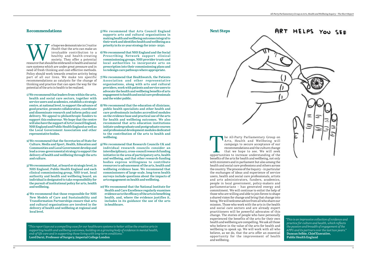

- **5) We recommend that Arts Council England supports arts and cultural organisations in making health and wellbeing outcomes integral to their work and identifies health and wellbeing as a priority in its 10-year strategy for 2020–2030.**
- **6) We recommend that NHS England and the Social Prescribing Network support clinical commissioning groups, NHS provider trusts and local authorities to incorporate arts on prescription into their commissioning plans and to redesign care pathways where appropriate.**
- **7) We recommend that Healthwatch, the Patients**  Association and other representative **organisations, along with arts and cultural providers, work with patients and service users to advocate the health and wellbeing benefits of arts engagement to health and social care professionals and the wider public.**
- **8) We recommend that the education of clinicians, public health specialists and other health and care professionals includes accredited modules on the evidence base and practical use of the arts for health and wellbeing outcomes. We also recommend that arts education institutions initiate undergraduate and postgraduate courses and professional development modules dedicated to the contribution of the arts to health and wellbeing.**
- **9) We recommend that Research Councils UK and individual research councils consider an interdisciplinary, cross-council research funding initiative in the area of participatory arts, health and wellbeing, and that other research-funding bodies express willingness to contribute resources to advancement of the arts, health and wellbeing evidence base. We recommend that commissioners of large-scale, long-term health surveys include questions about the impacts of arts engagement on health and wellbeing.**
- **10) We recommend that the National Institute for Health and Care Excellence regularly examines evidence as to the efficacy of the arts in benefiting health, and, where the evidence justifies it, includes in its guidance the use of the arts in healthcare.**

**Realth that the arts can make an invaluable contribution to a healthy and health-creating society. They offer a potential resource that should be embraced in health and social** *Health* that the arts can make an invaluable contribution to a healthy and health-creating society. They offer a potential care systems which are under great pressure and in need of fresh thinking and cost-effective methods. Policy should work towards creative activity being part of all our lives. We make ten specific recommendations as catalysts for the change of thinking and practice that can open the way for the potential of the arts in health to be realised.

#### **Recommendations**

The All-Party Parliamentary Group on Arts, Health and Wellbeing will campaign to secure acceptance of our recommendations and the culture change that we hope to see. We will seek opportunities to increase understanding of Arts, Health and Wellbeing will campaign to secure acceptance of our recommendations and the culture change that we hope to see. We will seek benefits of the arts for health and wellbeing, not only with ministers and in parliament but also among the health and social care professions and others across the country. The process of the Inquiry – in particular the exchanges of ideas and experience of service users, health and social care professionals, artists and arts administrators, funders, academics, people in local government, policy-makers and parliamentarians – has generated energy and commitment. We will continue to enlist the help of those who are willing and able to join forces to shape a shared vision for change and bring that change into being. We will welcome advice from all who share our mission. Those who work with the arts in the health and social care sectors and are already expert practitioners will be powerful advocates of this change. The stories of people who have personally experienced the benefits of the arts for their own health and wellbeing are compelling. We ask all those who believe in the value of the arts for health and wellbeing to speak up. We will work with all who

- **1) We recommend that leaders from within the arts, health and social care sectors, together with service users and academics, establish a strategic centre, at national level, to support the advance of good practice, promote collaboration, coordinate and disseminate research and inform policy and delivery. We appeal to philanthropic funders to support this endeavour. We hope that the centre will also have the support of Arts Council England, NHS England and Public Health England as well as the Local Government Association and other representative bodies.**
- **2) We recommend that the Secretaries of State for Culture, Media and Sport, Health, Education and Communities and Local Government develop and lead a cross-governmental strategy to support the delivery of health and wellbeing through the arts and culture.**
- **3) We recommend that, at board or strategic level, in NHS England, Public Health England and each clinical commissioning group, NHS trust, local authority and health and wellbeing board, an individual is designated to take responsibility for the pursuit of institutional policy for arts, health and wellbeing.**
- **4) We recommend that those responsible for NHS New Models of Care and Sustainability and Transformation Partnerships ensure that arts and cultural organisations are involved in the delivery of health and wellbeing at regional and local level.**

**Next Steps**



and wellbeing.

*"This report lays out a compelling case for our healthcare systems to better utilise the creative arts in supporting health and wellbeing outcomes, building on a growing body of evidence in mental health, end-of-life care and in supporting those living with long-term conditions."* **Lord Darzi, Professor of Surgery, Imperial College London**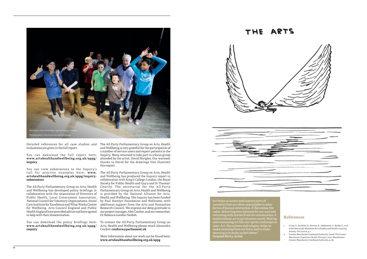## THE ARTS



| <b>All Commercial</b> |  |
|-----------------------|--|
|                       |  |
|                       |  |
|                       |  |
|                       |  |

#### **References**

- 1. Crisp, N., Stuckler, D., Horton, R., Adebowale, V., Bailey, S., et al. (7 October 2016). Manifesto for a Healthy and Health-creating Society. *The Lancet*, p. 1.
- 2. Greater Manchester Combined Authority. (2016). *The Greater Manchester Population Health Plan 2017–2021.* Manchester: Greater Manchester Combined Authority, p. 26.

You can download the full report here: Inquiry. Many returned to take part in a focus group **[www.artshealthandwellbeing.org.uk/appg/](http://www.artshealthandwellbeing.org.uk/appg/inquiry) [inquiry](http://www.artshealthandwellbeing.org.uk/appg/inquiry)**

evaluations are given in the full report.

You can view submissions to the Inquiry's call for practice examples here: **[www.](http://www.artshealthandwellbeing.org.uk/appg/inquiry-submissions) [artshealthandwellbeing.org.uk/appg/inquiry](http://www.artshealthandwellbeing.org.uk/appg/inquiry-submissions)[submissions](http://www.artshealthandwellbeing.org.uk/appg/inquiry-submissions)**

The All-Party Parliamentary Group on Arts, Health and Wellbeing has developed policy briefings in Parliamentary Group on Arts, Health and Wellbeing collaboration with the Association of Directors of Public Health, Local Government Association, Health and Wellbeing. The Inquiry has been funded National Council for Voluntary Organisations, Social Care Institute for Excellence and What Works Centre for Wellbeing. Arts Council England and Public Health England have provided advice and have agreed to help with their dissemination.

Detailed references for all case studies and The All-Party Parliamentary Group on Arts, Health and Wellbeing is very grateful for the participation of a number of service users and expert patients in the attended by the artist, David Shrigley. Our warmest thanks to David for the drawings that illustrate this report.

**[www.artshealthandwellbeing.org.uk/appg/](http://www.artshealthandwellbeing.org.uk/appg/inquiry) [inquiry](http://www.artshealthandwellbeing.org.uk/appg/inquiry)**

You can download the policy briefings here: To contact the All-Party Parliamentary Group on Arts, Health and Wellbeing please email Alexandra Coulter: **coultera@parliament.uk**

The All-Party Parliamentary Group on Arts, Health and Wellbeing has produced the Inquiry report in collaboration with King's College London, the Royal Society for Public Health and Guy's and St Thomas' Charity. The secretariat for the All-Party is provided by the National Alliance for Arts, by Paul Hamlyn Foundation and Wellcome, with additional support from the Arts and Humanties Research Council. We express our deep gratitude to our project manager, Alex Coulter, and our researcher, Dr Rebecca Gordon-Nesbitt.

More information about our work can be found here: **[www.artshealthandwellbeing.org.uk/appg](http://www.artshealthandwellbeing.org.uk/appg)**

"Art helps us access and express parts of ourselves that are often unavailable to other forms of human interaction. It flies below the radar, delivering nourishment for our soul and returning with stories from the unconscious. A world without art is an inhuman world. Making and consuming art lifts our spirits and keeps us sane. Art, like science and religion, helps us make meaning from our lives, and to make meaning is to make us feel better." **Grayson Perry, Artist**